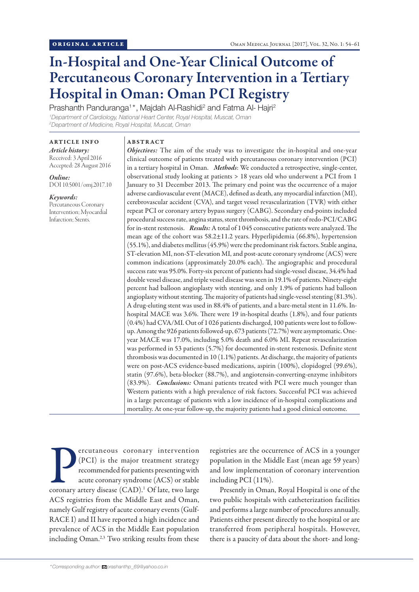# In-Hospital and One-Year Clinical Outcome of Percutaneous Coronary Intervention in a Tertiary Hospital in Oman: Oman PCI Registry

Prashanth Panduranga<sup>1\*</sup>, Majdah Al-Rashidi<sup>2</sup> and Fatma Al- Hajri<sup>2</sup> *1 Department of Cardiology, National Heart Center, Royal Hospital, Muscat, Oman 2 Department of Medicine, Royal Hospital, Muscat, Oman*

ARTICLE INFO *Article history:*

Received: 3 April 2016 Accepted: 28 August 2016

*Online:* DOI 10.5001/omj.2017.10

*Keywords:*  Percutaneous Coronary Intervention; Myocardial Infarction; Stents.

# ABSTRACT

*Objectives:* The aim of the study was to investigate the in-hospital and one-year clinical outcome of patients treated with percutaneous coronary intervention (PCI) in a tertiary hospital in Oman. *Methods*: We conducted a retrospective, single-center, observational study looking at patients > 18 years old who underwent a PCI from 1 January to 31 December 2013. The primary end point was the occurrence of a major adverse cardiovascular event (MACE), defined as death, any myocardial infarction (MI), cerebrovascular accident (CVA), and target vessel revascularization (TVR) with either repeat PCI or coronary artery bypass surgery (CABG). Secondary end-points included procedural success rate, angina status, stent thrombosis, and the rate of redo-PCI/CABG for in-stent restenosis. *Results:* A total of 1 045 consecutive patients were analyzed. The mean age of the cohort was 58.2±11.2 years. Hyperlipidemia (66.8%), hypertension (55.1%), and diabetes mellitus (45.9%) were the predominant risk factors. Stable angina, ST-elevation MI, non-ST-elevation MI, and post-acute coronary syndrome (ACS) were common indications (approximately 20.0% each). The angiographic and procedural success rate was 95.0%. Forty-six percent of patients had single-vessel disease, 34.4% had double vessel disease, and triple vessel disease was seen in 19.1% of patients. Ninety-eight percent had balloon angioplasty with stenting, and only 1.9% of patients had balloon angioplasty without stenting. The majority of patients had single-vessel stenting (81.3%). A drug-eluting stent was used in 88.4% of patients, and a bare-metal stent in 11.6%. Inhospital MACE was 3.6%. There were 19 in-hospital deaths (1.8%), and four patients (0.4%) had CVA/MI. Out of 1 026 patients discharged, 100 patients were lost to followup. Among the 926 patients followed-up, 673 patients (72.7%) were asymptomatic. Oneyear MACE was 17.0%, including 5.0% death and 6.0% MI. Repeat revascularization was performed in 53 patients (5.7%) for documented in-stent restenosis. Definite stent thrombosis was documented in 10 (1.1%) patients. At discharge, the majority of patients were on post-ACS evidence-based medications, aspirin (100%), clopidogrel (99.6%), statin (97.6%), beta-blocker (88.7%), and angiotensin-converting-enzyme inhibitors (83.9%). *Conclusions:* Omani patients treated with PCI were much younger than Western patients with a high prevalence of risk factors. Successful PCI was achieved in a large percentage of patients with a low incidence of in-hospital complications and mortality. At one-year follow-up, the majority patients had a good clinical outcome.

Percutaneous coronary intervention (PCI) is the major treatment strategy recommended for patients presenting with acute coronary syndrome (ACS) or stable coronary artery disease (CAD).<sup>1</sup> Of late, two large ercutaneous coronary intervention (PCI) is the major treatment strategy recommended for patients presenting with acute coronary syndrome (ACS) or stable ACS registries from the Middle East and Oman, namely Gulf registry of acute coronary events (Gulf-RACE I) and II have reported a high incidence and prevalence of ACS in the Middle East population including Oman.<sup>2,3</sup> Two striking results from these

registries are the occurrence of ACS in a younger population in the Middle East (mean age 59 years) and low implementation of coronary intervention including PCI (11%).

Presently in Oman, Royal Hospital is one of the two public hospitals with catheterization facilities and performs a large number of procedures annually. Patients either present directly to the hospital or are transferred from peripheral hospitals. However, there is a paucity of data about the short- and long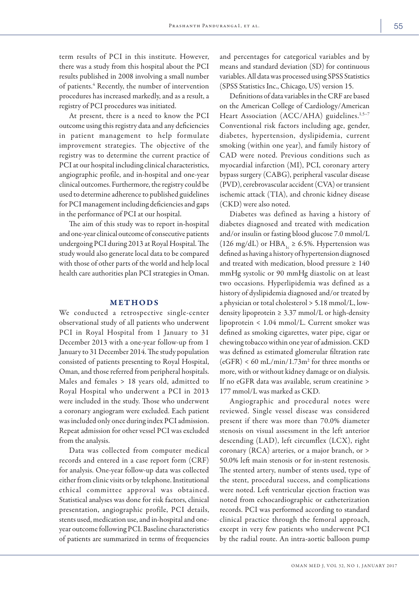term results of PCI in this institute. However, there was a study from this hospital about the PCI results published in 2008 involving a small number of patients.<sup>4</sup> Recently, the number of intervention procedures has increased markedly, and as a result, a registry of PCI procedures was initiated.

At present, there is a need to know the PCI outcome using this registry data and any deficiencies in patient management to help formulate improvement strategies. The objective of the registry was to determine the current practice of PCI at our hospital including clinical characteristics, angiographic profile, and in-hospital and one-year clinical outcomes. Furthermore, the registry could be used to determine adherence to published guidelines for PCI management including deficiencies and gaps in the performance of PCI at our hospital.

The aim of this study was to report in-hospital and one-year clinical outcome of consecutive patients undergoing PCI during 2013 at Royal Hospital. The study would also generate local data to be compared with those of other parts of the world and help local health care authorities plan PCI strategies in Oman.

# METHODS

We conducted a retrospective single-center observational study of all patients who underwent PCI in Royal Hospital from 1 January to 31 December 2013 with a one-year follow-up from 1 January to 31 December 2014. The study population consisted of patients presenting to Royal Hospital, Oman, and those referred from peripheral hospitals. Males and females > 18 years old, admitted to Royal Hospital who underwent a PCI in 2013 were included in the study. Those who underwent a coronary angiogram were excluded. Each patient was included only once during index PCI admission. Repeat admission for other vessel PCI was excluded from the analysis.

Data was collected from computer medical records and entered in a case report form (CRF) for analysis. One-year follow-up data was collected either from clinic visits or by telephone. Institutional ethical committee approval was obtained. Statistical analyses was done for risk factors, clinical presentation, angiographic profile, PCI details, stents used, medication use, and in-hospital and oneyear outcome following PCI. Baseline characteristics of patients are summarized in terms of frequencies and percentages for categorical variables and by means and standard deviation (SD) for continuous variables. All data was processed using SPSS Statistics (SPSS Statistics Inc., Chicago, US) version 15.

Definitions of data variables in the CRF are based on the American College of Cardiology/American Heart Association (ACC/AHA) guidelines.<sup>1,5-7</sup> Conventional risk factors including age, gender, diabetes, hypertension, dyslipidemia, current smoking (within one year), and family history of CAD were noted. Previous conditions such as myocardial infarction (MI), PCI, coronary artery bypass surgery (CABG), peripheral vascular disease (PVD), cerebrovascular accident (CVA) or transient ischemic attack (TIA), and chronic kidney disease (CKD) were also noted.

Diabetes was defined as having a history of diabetes diagnosed and treated with medication and/or insulin or fasting blood glucose 7.0 mmol/L (126 mg/dL) or HBA<sub>1c</sub>  $\geq$  6.5%. Hypertension was defined as having a history of hypertension diagnosed and treated with medication, blood pressure  $\geq 140$ mmHg systolic or 90 mmHg diastolic on at least two occasions. Hyperlipidemia was defined as a history of dyslipidemia diagnosed and/or treated by a physician or total cholesterol > 5.18 mmol/L, lowdensity lipoprotein  $\geq 3.37$  mmol/L or high-density lipoprotein < 1.04 mmol/L. Current smoker was defined as smoking cigarettes, water pipe, cigar or chewing tobacco within one year of admission. CKD was defined as estimated glomerular filtration rate  $(eGFR)$  < 60 mL/min/1.73m<sup>2</sup> for three months or more, with or without kidney damage or on dialysis. If no eGFR data was available, serum creatinine > 177 mmol/L was marked as CKD.

Angiographic and procedural notes were reviewed. Single vessel disease was considered present if there was more than 70.0% diameter stenosis on visual assessment in the left anterior descending (LAD), left circumflex (LCX), right coronary (RCA) arteries, or a major branch, or > 50.0% left main stenosis or for in-stent restenosis. The stented artery, number of stents used, type of the stent, procedural success, and complications were noted. Left ventricular ejection fraction was noted from echocardiographic or catheterization records. PCI was performed according to standard clinical practice through the femoral approach, except in very few patients who underwent PCI by the radial route. An intra-aortic balloon pump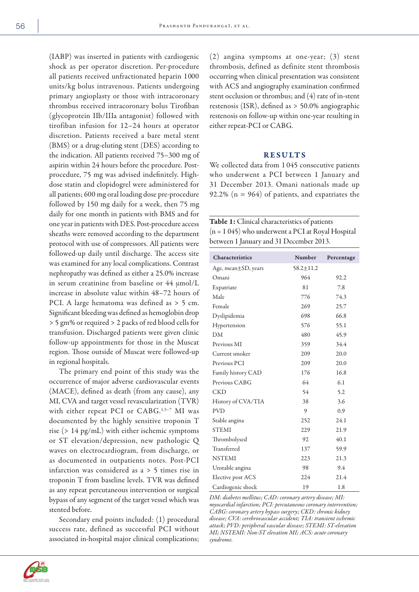(IABP) was inserted in patients with cardiogenic shock as per operator discretion. Per-procedure all patients received unfractionated heparin 1000 units/kg bolus intravenous. Patients undergoing primary angioplasty or those with intracoronary thrombus received intracoronary bolus Tirofiban (glycoprotein IIb/IIIa antagonist) followed with tirofiban infusion for 12–24 hours at operator discretion. Patients received a bare metal stent (BMS) or a drug-eluting stent (DES) according to the indication. All patients received 75–300 mg of aspirin within 24 hours before the procedure. Postprocedure, 75 mg was advised indefinitely. Highdose statin and clopidogrel were administered for all patients; 600 mg oral loading dose pre-procedure followed by 150 mg daily for a week, then 75 mg daily for one month in patients with BMS and for one year in patients with DES. Post-procedure access sheaths were removed according to the department protocol with use of compressors. All patients were followed-up daily until discharge. The access site was examined for any local complications. Contrast nephropathy was defined as either a 25.0% increase in serum creatinine from baseline or 44 µmol/L increase in absolute value within 48–72 hours of PCI. A large hematoma was defined as > 5 cm. Significant bleeding was defined as hemoglobin drop > 5 gm% or required > 2 packs of red blood cells for transfusion. Discharged patients were given clinic follow-up appointments for those in the Muscat region. Those outside of Muscat were followed-up in regional hospitals.

The primary end point of this study was the occurrence of major adverse cardiovascular events (MACE), defined as death (from any cause), any MI, CVA and target vessel revascularization (TVR) with either repeat PCI or CABG.<sup>1,5-7</sup> MI was documented by the highly sensitive troponin T rise (> 14 pg/mL) with either ischemic symptoms or ST elevation/depression, new pathologic Q waves on electrocardiogram, from discharge, or as documented in outpatients notes. Post-PCI infarction was considered as a > 5 times rise in troponin T from baseline levels. TVR was defined as any repeat percutaneous intervention or surgical bypass of any segment of the target vessel which was stented before.

Secondary end points included: (1) procedural success rate, defined as successful PCI without associated in-hospital major clinical complications;

(2) angina symptoms at one-year; (3) stent thrombosis, defined as definite stent thrombosis occurring when clinical presentation was consistent with ACS and angiography examination confirmed stent occlusion or thrombus; and (4) rate of in-stent restenosis (ISR), defined as > 50.0% angiographic restenosis on follow-up within one-year resulting in either repeat-PCI or CABG.

#### RESULTS

We collected data from 1045 consecutive patients who underwent a PCI between 1 January and 31 December 2013. Omani nationals made up 92.2% (n = 964) of patients, and expatriates the

Table 1: Clinical characteristics of patients (n = 1 045) who underwent a PCI at Royal Hospital between 1 January and 31 December 2013.

| Characteristics           | Number          | Percentage |
|---------------------------|-----------------|------------|
| Age, mean $\pm$ SD, years | $58.2 \pm 11.2$ |            |
| Omani                     | 964             | 92.2       |
| Expatriate                | 81              | 7.8        |
| Male                      | 776             | 74.3       |
| Female                    | 269             | 25.7       |
| Dyslipidemia              | 698             | 66.8       |
| Hypertension              | 576             | 55.1       |
| DM                        | 480             | 45.9       |
| Previous MI               | 359             | 34.4       |
| Current smoker            | 209             | 20.0       |
| Previous PCI              | 209             | 20.0       |
| Family history CAD        | 176             | 16.8       |
| Previous CABG             | 64              | 6.1        |
| <b>CKD</b>                | 54              | 5.2        |
| History of CVA/TIA        | 38              | 3.6        |
| <b>PVD</b>                | 9               | 0.9        |
| Stable angina             | 252             | 24.1       |
| <b>STEMI</b>              | 229             | 21.9       |
| Thrombolysed              | 92              | 40.1       |
| Transferred               | 137             | 59.9       |
| <b>NSTEMI</b>             | 223             | 21.3       |
| Unstable angina           | 98              | 9.4        |
| Elective post ACS         | 224             | 21.4       |
| Cardiogenic shock         | 19              | 1.8        |

*DM: diabetes mellitus; CAD: coronary artery disease; MI: myocardial infarction; PCI: percutaneous coronary intervention; CABG: coronary artery bypass surgery; CKD: chronic kidney disease; CVA: cerebrovascular accident; TIA: transient ischemic attack; PVD: peripheral vascular disease; STEMI: ST-elevation MI; NSTEMI: Non-ST elevation MI; ACS: acute coronary syndrome.*

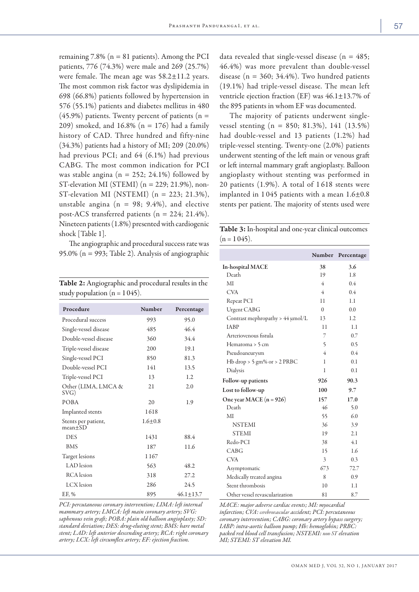remaining  $7.8\%$  (n = 81 patients). Among the PCI patients, 776 (74.3%) were male and 269 (25.7%) were female. The mean age was  $58.2 \pm 11.2$  years. The most common risk factor was dyslipidemia in 698 (66.8%) patients followed by hypertension in 576 (55.1%) patients and diabetes mellitus in 480  $(45.9\%)$  patients. Twenty percent of patients (n = 209) smoked, and 16.8% (n = 176) had a family history of CAD. Three hundred and fifty-nine (34.3%) patients had a history of MI; 209 (20.0%) had previous PCI; and 64 (6.1%) had previous CABG. The most common indication for PCI was stable angina ( $n = 252$ ; 24.1%) followed by ST-elevation MI (STEMI) ( $n = 229$ ; 21.9%), non-ST-elevation MI (NSTEMI) ( $n = 223$ ; 21.3%), unstable angina ( $n = 98$ ; 9.4%), and elective post-ACS transferred patients (n = 224; 21.4%). Nineteen patients (1.8%) presented with cardiogenic shock [Table 1].

The angiographic and procedural success rate was 95.0% (n = 993; Table 2). Analysis of angiographic

| Table 2: Angiographic and procedural results in the |  |
|-----------------------------------------------------|--|
| study population (n = 1 045).                       |  |

| Procedure                          | Number      | Percentage    |
|------------------------------------|-------------|---------------|
| Procedural success                 | 993         | 95.0          |
| Single-vessel disease              | 485         | 46.4          |
| Double-vessel disease              | 360         | 34.4          |
| Triple-vessel disease              | 200         | 19.1          |
| Single-vessel PCI                  | 850         | 81.3          |
| Double-vessel PCI                  | 141         | 13.5          |
| Triple-vessel PCI                  | 13          | 1.2           |
| Other (LIMA, LMCA &<br>SVG)        | 21          | 2.0           |
| <b>POBA</b>                        | 20          | 1.9           |
| Implanted stents                   | 1618        |               |
| Stents per patient,<br>$mean + SD$ | $1.6 + 0.8$ |               |
| DES                                | 1431        | 88.4          |
| <b>BMS</b>                         | 187         | 11.6          |
| Target lesions                     | 1167        |               |
| LAD lesion                         | 563         | 48.2          |
| <b>RCA</b> lesion                  | 318         | 27.2          |
| LCX lesion                         | 286         | 24.5          |
| EF, %                              | 895         | $46.1 + 13.7$ |

*PCI: percutaneous coronary intervention; LIMA: left internal mammary artery; LMCA: left main coronary artery; SVG: saphenous vein graft; POBA: plain old balloon angioplasty; SD: standard deviation; DES: drug-eluting stent; BMS: bare metal stent; LAD: left anterior descending artery; RCA: right coronary artery; LCX: left circumflex artery; EF: ejection fraction.*

data revealed that single-vessel disease ( $n = 485$ ; 46.4%) was more prevalent than double-vessel disease ( $n = 360$ ; 34.4%). Two hundred patients (19.1%) had triple-vessel disease. The mean left ventricle ejection fraction (EF) was 46.1±13.7% of the 895 patients in whom EF was documented.

The majority of patients underwent singlevessel stenting (n = 850; 81.3%), 141 (13.5%) had double-vessel and 13 patients (1.2%) had triple-vessel stenting. Twenty-one (2.0%) patients underwent stenting of the left main or venous graft or left internal mammary graft angioplasty. Balloon angioplasty without stenting was performed in 20 patients (1.9%). A total of 1 618 stents were implanted in 1 045 patients with a mean 1.6±0.8 stents per patient. The majority of stents used were

Table 3: In-hospital and one-year clinical outcomes  $(n = 1045)$ .

|                                       | Number         | Percentage |
|---------------------------------------|----------------|------------|
| <b>In-hospital MACE</b>               | 38             | 3.6        |
| Death                                 | 19             | 1.8        |
| MI                                    | 4              | 0.4        |
| <b>CVA</b>                            | 4              | 0.4        |
| Repeat PCI                            | 11             | 1.1        |
| <b>Urgent CABG</b>                    | $\Omega$       | 0.0        |
| Contrast mephropathy > $44 \mu$ mol/L | 13             | 1.2        |
| <b>IABP</b>                           | 11             | 1.1        |
| Arteriovenous fistula                 | 7              | 0.7        |
| Hematoma > 5 cm                       | 5              | 0.5        |
| Pseudoaneurysm                        | $\overline{4}$ | 0.4        |
| $Hb$ drop > 5 gm% or > 2 PRBC         | 1              | 0.1        |
| Dialysis                              | 1              | 0.1        |
| Follow-up patients                    | 926            | 90.3       |
| Lost to follow-up                     | 100            | 9.7        |
| One year MACE $(n = 926)$             | 157            | 17.0       |
| Death                                 | 46             | 5.0        |
| МI                                    | 55             | 6.0        |
| <b>NSTEMI</b>                         | 36             | 3.9        |
| <b>STEMI</b>                          | 19             | 2.1        |
| Redo-PCI                              | 38             | 4.1        |
| CABG                                  | 15             | 1.6        |
| <b>CVA</b>                            | 3              | 0.3        |
| Asymptomatic                          | 673            | 72.7       |
| Medically treated angina              | 8              | 0.9        |
| Stent thrombosis                      | 10             | 1.1        |
| Other vessel revascularization        | 81             | 8.7        |

*MACE: major adverse cardiac events; MI: myocardial infarction; CVA: cerebrovascular accident; PCI: percutaneous coronary intervention; CABG: coronary artery bypass surgery; IABP: intra-aortic balloon pump; Hb: hemoglobin; PRBC: packed red blood cell transfusion; NSTEMI: non-ST elevation MI; STEMI: ST elevation MI.*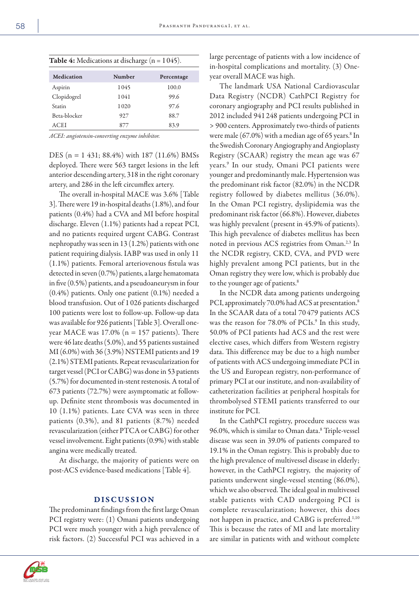| <b>Table 4:</b> Medications at discharge ( $n = 1045$ ).<br>Medication<br>Number<br>Percentage |      |       |  |
|------------------------------------------------------------------------------------------------|------|-------|--|
|                                                                                                |      |       |  |
| Aspirin                                                                                        | 1045 | 100.0 |  |
| Clopidogrel                                                                                    | 1041 | 99.6  |  |
| Statin                                                                                         | 1020 | 97.6  |  |
| Beta-blocker                                                                                   | 927  | 88.7  |  |
| <b>ACEI</b>                                                                                    | 877  | 83.9  |  |

*ACEI: angiotensin-converting enzyme inhibitor.*

DES (n = 1 431; 88.4%) with 187 (11.6%) BMSs deployed. There were 563 target lesions in the left anterior descending artery, 318 in the right coronary artery, and 286 in the left circumflex artery.

The overall in-hospital MACE was 3.6% [Table 3]. There were 19 in-hospital deaths (1.8%), and four patients (0.4%) had a CVA and MI before hospital discharge. Eleven (1.1%) patients had a repeat PCI, and no patients required urgent CABG. Contrast nephropathy was seen in 13 (1.2%) patients with one patient requiring dialysis. IABP was used in only 11 (1.1%) patients. Femoral arteriovenous fistula was detected in seven (0.7%) patients, a large hematomata in five (0.5%) patients, and a pseudoaneurysm in four (0.4%) patients. Only one patient (0.1%) needed a blood transfusion. Out of 1 026 patients discharged 100 patients were lost to follow-up. Follow-up data was available for 926 patients [Table 3]. Overall oneyear MACE was  $17.0\%$  (n = 157 patients). There were 46 late deaths (5.0%), and 55 patients sustained MI (6.0%) with 36 (3.9%) NSTEMI patients and 19 (2.1%) STEMI patients. Repeat revascularization for target vessel (PCI or CABG) was done in 53 patients (5.7%) for documented in-stent restenosis. A total of 673 patients (72.7%) were asymptomatic at followup. Definite stent thrombosis was documented in 10 (1.1%) patients. Late CVA was seen in three patients (0.3%), and 81 patients (8.7%) needed revascularization (either PTCA or CABG) for other vessel involvement. Eight patients (0.9%) with stable angina were medically treated.

At discharge, the majority of patients were on post-ACS evidence-based medications [Table 4].

## DISCUSSION

The predominant findings from the first large Oman PCI registry were: (1) Omani patients undergoing PCI were much younger with a high prevalence of risk factors. (2) Successful PCI was achieved in a large percentage of patients with a low incidence of in-hospital complications and mortality. (3) Oneyear overall MACE was high.

The landmark USA National Cardiovascular Data Registry (NCDR) CathPCI Registry for coronary angiography and PCI results published in 2012 included 941 248 patients undergoing PCI in > 900 centers. Approximately two-thirds of patients were male  $(67.0%)$  with a median age of 65 years.<sup>8</sup> In the Swedish Coronary Angiography and Angioplasty Registry (SCAAR) registry the mean age was 67 years.9 In our study, Omani PCI patients were younger and predominantly male. Hypertension was the predominant risk factor (82.0%) in the NCDR registry followed by diabetes mellitus (36.0%). In the Oman PCI registry, dyslipidemia was the predominant risk factor (66.8%). However, diabetes was highly prevalent (present in 45.9% of patients). This high prevalence of diabetes mellitus has been noted in previous ACS registries from Oman.<sup>2,3</sup> In the NCDR registry, CKD, CVA, and PVD were highly prevalent among PCI patients, but in the Oman registry they were low, which is probably due to the younger age of patients.<sup>8</sup>

In the NCDR data among patients undergoing PCI, approximately 70.0% had ACS at presentation.<sup>8</sup> In the SCAAR data of a total 70 479 patients ACS was the reason for 78.0% of PCIs.<sup>9</sup> In this study, 50.0% of PCI patients had ACS and the rest were elective cases, which differs from Western registry data. This difference may be due to a high number of patients with ACS undergoing immediate PCI in the US and European registry, non-performance of primary PCI at our institute, and non-availability of catheterization facilities at peripheral hospitals for thrombolysed STEMI patients transferred to our institute for PCI.

In the CathPCI registry, procedure success was 96.0%, which is similar to Oman data.8 Triple-vessel disease was seen in 39.0% of patients compared to 19.1% in the Oman registry. This is probably due to the high prevalence of multivessel disease in elderly; however, in the CathPCI registry, the majority of patients underwent single-vessel stenting (86.0%), which we also observed. The ideal goal in multivessel stable patients with CAD undergoing PCI is complete revascularization; however, this does not happen in practice, and CABG is preferred.<sup>1,10</sup> This is because the rates of MI and late mortality are similar in patients with and without complete

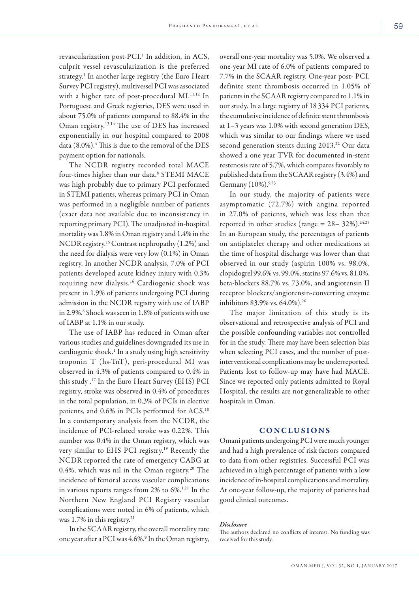revascularization post-PCI.<sup>1</sup> In addition, in ACS, culprit vessel revascularization is the preferred strategy.<sup>1</sup> In another large registry (the Euro Heart Survey PCI registry), multivessel PCI was associated with a higher rate of post-procedural MI.<sup>11,12</sup> In Portuguese and Greek registries, DES were used in about 75.0% of patients compared to 88.4% in the Oman registry.13,14 The use of DES has increased exponentially in our hospital compared to 2008 data  $(8.0\%)$ .<sup>4</sup> This is due to the removal of the DES payment option for nationals.

The NCDR registry recorded total MACE four-times higher than our data.8 STEMI MACE was high probably due to primary PCI performed in STEMI patients, whereas primary PCI in Oman was performed in a negligible number of patients (exact data not available due to inconsistency in reporting primary PCI). The unadjusted in-hospital mortality was 1.8% in Oman registry and 1.4% in the NCDR registry.15 Contrast nephropathy (1.2%) and the need for dialysis were very low (0.1%) in Oman registry. In another NCDR analysis, 7.0% of PCI patients developed acute kidney injury with 0.3% requiring new dialysis.16 Cardiogenic shock was present in 1.9% of patients undergoing PCI during admission in the NCDR registry with use of IABP in 2.9%.<sup>8</sup> Shock was seen in 1.8% of patients with use of IABP at 1.1% in our study.

The use of IABP has reduced in Oman after various studies and guidelines downgraded its use in cardiogenic shock.<sup>1</sup> In a study using high sensitivity troponin T (hs-TnT), peri-procedural MI was observed in 4.3% of patients compared to 0.4% in this study .17 In the Euro Heart Survey (EHS) PCI registry, stroke was observed in 0.4% of procedures in the total population, in 0.3% of PCIs in elective patients, and 0.6% in PCIs performed for ACS.<sup>18</sup> In a contemporary analysis from the NCDR, the incidence of PCI-related stroke was 0.22%. This number was 0.4% in the Oman registry, which was very similar to EHS PCI registry.<sup>19</sup> Recently the NCDR reported the rate of emergency CABG at 0.4%, which was nil in the Oman registry.<sup>20</sup> The incidence of femoral access vascular complications in various reports ranges from 2% to 6%.1,21 In the Northern New England PCI Registry vascular complications were noted in 6% of patients, which was 1.7% in this registry.<sup>21</sup>

In the SCAAR registry, the overall mortality rate one year after a PCI was 4.6%.<sup>9</sup> In the Oman registry,

overall one-year mortality was 5.0%. We observed a one-year MI rate of 6.0% of patients compared to 7.7% in the SCAAR registry. One-year post- PCI, definite stent thrombosis occurred in 1.05% of patients in the SCAAR registry compared to 1.1% in our study. In a large registry of 18 334 PCI patients, the cumulative incidence of definite stent thrombosis at 1–3 years was 1.0% with second generation DES, which was similar to our findings where we used second generation stents during 2013.<sup>22</sup> Our data showed a one year TVR for documented in-stent restenosis rate of 5.7%, which compares favorably to published data from the SCAAR registry (3.4%) and Germany (10%).<sup>9,23</sup>

In our study, the majority of patients were asymptomatic (72.7%) with angina reported in 27.0% of patients, which was less than that reported in other studies (range =  $28 - 32\%$ ).<sup>24,25</sup> In an European study, the percentages of patients on antiplatelet therapy and other medications at the time of hospital discharge was lower than that observed in our study (aspirin 100% vs. 98.0%, clopidogrel 99.6% vs. 99.0%, statins 97.6% vs. 81.0%, beta-blockers 88.7% vs. 73.0%, and angiotensin II receptor blockers/angiotensin-converting enzyme inhibitors 83.9% vs. 64.0%).26

The major limitation of this study is its observational and retrospective analysis of PCI and the possible confounding variables not controlled for in the study. There may have been selection bias when selecting PCI cases, and the number of postinterventional complications may be underreported. Patients lost to follow-up may have had MACE. Since we reported only patients admitted to Royal Hospital, the results are not generalizable to other hospitals in Oman.

# CONCLUSIONS

Omani patients undergoing PCI were much younger and had a high prevalence of risk factors compared to data from other registries. Successful PCI was achieved in a high percentage of patients with a low incidence of in-hospital complications and mortality. At one-year follow-up, the majority of patients had good clinical outcomes.

#### *Disclosure*

The authors declared no conflicts of interest. No funding was received for this study.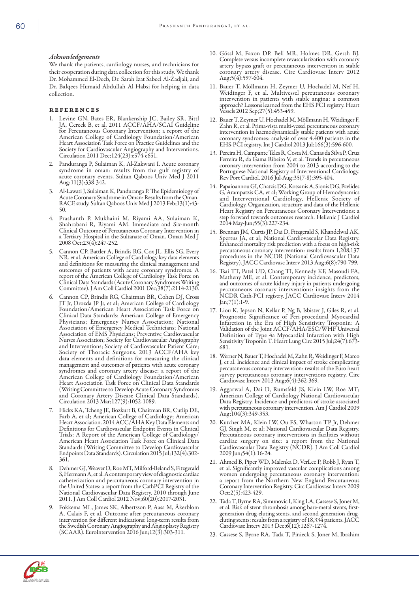### *Acknowledgements*

We thank the patients, cardiology nurses, and technicians for their cooperation during data collection for this study. We thank Dr. Mohammed El-Deeb, Dr. Sarah Izat Sabeel Al-Zadjali, and Dr. Balqees Humaid Abdullah Al-Habsi for helping in data collection.

#### references

- 1. Levine GN, Bates ER, Blankenship JC, Bailey SR, Bittl JA, Cercek B, et al. 2011 ACCF/AHA/SCAI Guideline for Percutaneous Coronary Intervention: a report of the American College of Cardiology Foundation/American Heart Association Task Force on Practice Guidelines and the Society for Cardiovascular Angiography and Interventions. Circulation 2011 Dec;124(23):e574-e651.
- 2. Panduranga P, Sulaiman K, Al-Zakwani I. Acute coronary syndrome in oman: results from the gulf registry of acute coronary events. Sultan Qaboos Univ Med J 2011 Aug;11(3):338-342.
- 3. Al-Lawati J, Sulaiman K, Panduranga P. The Epidemiology of Acute Coronary Syndrome in Oman: Results from the Oman-RACE study. Sultan Qaboos Univ Med J 2013 Feb;13(1):43- 50.
- 4. Prashanth P, Mukhaini M, Riyami AA, Sulaiman K, Shahrabani R, Riyami AM. Immediate and Six-month Clinical Outcome of Percutaneous Coronary Intervention in a Tertiary Hospital in the Sultanate of Oman. Oman Med J 2008 Oct;23(4):247-252.
- 5. Cannon CP, Battler A, Brindis RG, Cox JL, Ellis SG, Every NR, et al. American College of Cardiology key data elements and definitions for measuring the clinical management and outcomes of patients with acute coronary syndromes. A report of the American College of Cardiology Task Force on Clinical Data Standards (Acute Coronary Syndromes Writing Committee). J Am Coll Cardiol 2001 Dec;38(7):2114-2130.
- 6. Cannon CP, Brindis RG, Chaitman BR, Cohen DJ, Cross JT Jr, Drozda JP Jr, et al; American College of Cardiology Foundation/American Heart Association Task Force on Clinical Data Standards; American College of Emergency Physicians; Emergency Nurses Association; National Association of Emergency Medical Technicians; National Association of EMS Physicians; Preventive Cardiovascular Nurses Association; Society for Cardiovascular Angiography and Interventions; Society of Cardiovascular Patient Care; Society of Thoracic Surgeons. 2013 ACCF/AHA key data elements and definitions for measuring the clinical management and outcomes of patients with acute coronary syndromes and coronary artery disease: a report of the American College of Cardiology Foundation/American Heart Association Task Force on Clinical Data Standards (Writing Committee to Develop Acute Coronary Syndromes and Coronary Artery Disease Clinical Data Standards). Circulation 2013 Mar;127(9):1052-1089.
- 7. Hicks KA, Tcheng JE, Bozkurt B, Chaitman BR, Cutlip DE, Farb A, et al; American College of Cardiology; American Heart Association. 2014 ACC/AHA Key Data Elements and Definitions for Cardiovascular Endpoint Events in Clinical Trials: A Report of the American College of Cardiology/ American Heart Association Task Force on Clinical Data Standards (Writing Committee to Develop Cardiovascular Endpoints Data Standards). Circulation 2015 Jul;132(4):302- 361.
- 8. Dehmer GJ, Weaver D, Roe MT, Milford-Beland S, Fitzgerald S, Hermann A, et al. A contemporary view of diagnostic cardiac catheterization and percutaneous coronary intervention in the United States: a report from the CathPCI Registry of the National Cardiovascular Data Registry, 2010 through June 2011. J Am Coll Cardiol 2012 Nov;60(20):2017-2031.
- 9. Fokkema ML, James SK, Albertsson P, Aasa M, Åkerblom A, Calais F, et al. Outcome after percutaneous coronary intervention for different indications: long-term results from the Swedish Coronary Angiography and Angioplasty Registry (SCAAR). EuroIntervention 2016 Jun;12(3):303-311.
- 10. Gössl M, Faxon DP, Bell MR, Holmes DR, Gersh BJ. Complete versus incomplete revascularization with coronary artery bypass graft or percutaneous intervention in stable coronary artery disease. Circ Cardiovasc Interv 2012 Aug;5(4):597-604.
- 11. Bauer T, Möllmann H, Zeymer U, Hochadel M, Nef H, Weidinger F, et al. Multivessel percutaneous coronary intervention in patients with stable angina: a common approach? Lessons learned from the EHS PCI registry. Heart Vessels 2012 Sep;27(5):453-459.
- 12. Bauer T, Zeymer U, Hochadel M, Möllmann H, Weidinger F, Zahn R, et al. Prima-vista multi-vessel percutaneous coronary intervention in haemodynamically stable patients with acute coronary syndromes: analysis of over 4.400 patients in the EHS-PCI registry. Int J Cardiol 2013 Jul;166(3):596-600.
- 13. Pereira H, Campante Teles R, Costa M, Canas da Silva P, Cruz Ferreira R, da Gama Ribeiro V, et al. Trends in percutaneous coronary intervention from 2004 to 2013 according to the Portuguese National Registry of Interventional Cardiology. Rev Port Cardiol. 2016 Jul-Aug;35(7-8):395-404.
- 14. Papaioannou GI, Chatzis DG, Kotsanis A, Sionis DG, Pavlides G, Arampatzis CA, et al; Working Group of Hemodynamics and Interventional Cardiology, Hellenic Society of Cardiology. Organization, structure and data of the Hellenic Heart Registry on Percutaneous Coronary Interventions: a step forward towards outcomes research. Hellenic J Cardiol 2014 May-Jun;55(3):227-234.
- 15. Brennan JM, Curtis JP, Dai D, Fitzgerald S, Khandelwal AK, Spertus JA, et al; National Cardiovascular Data Registry. Enhanced mortality risk prediction with a focus on high-risk percutaneous coronary intervention: results from 1,208,137 procedures in the NCDR (National Cardiovascular Data Registry). JACC Cardiovasc Interv 2013 Aug;6(8):790-799.
- 16. Tsai TT, Patel UD, Chang TI, Kennedy KF, Masoudi FA, Matheny ME, et al. Contemporary incidence, predictors, and outcomes of acute kidney injury in patients undergoing percutaneous coronary interventions: insights from the NCDR Cath-PCI registry. JACC Cardiovasc Interv 2014 Jan;7(1):1-9.
- 17. Liou K, Jepson N, Kellar P, Ng B, Isbister J, Giles R, et al. Prognostic Significance of Peri-procedural Myocardial Infarction in the Era of High Sensitivity Troponin: A Validation of the Joint ACCF/AHA/ESC/WHF Universal Definition of Type 4a Myocardial Infarction with High Sensitivity Troponin T. Heart Lung Circ 2015 Jul;24(7):673-681.
- 18. Werner N, Bauer T, Hochadel M, Zahn R, Weidinger F, Marco J, et al. Incidence and clinical impact of stroke complicating percutaneous coronary intervention: results of the Euro heart survey percutaneous coronary interventions registry. Circ Cardiovasc Interv 2013 Aug;6(4):362-369.
- 19. Aggarwal A, Dai D, Rumsfeld JS, Klein LW, Roe MT; American College of Cardiology National Cardiovascular Data Registry. Incidence and predictors of stroke associated with percutaneous coronary intervention. Am J Cardiol 2009 Aug;104(3):349-353.
- 20. Kutcher MA, Klein LW, Ou FS, Wharton TP Jr, Dehmer GJ, Singh M, et al; National Cardiovascular Data Registry. Percutaneous coronary interventions in facilities without cardiac surgery on site: a report from the National Cardiovascular Data Registry (NCDR). J Am Coll Cardiol 2009 Jun;54(1):16-24.
- 21. Ahmed B, Piper WD, Malenka D, VerLee P, Robb J, Ryan T, et al. Significantly improved vascular complications among women undergoing percutaneous coronary intervention: a report from the Northern New England Percutaneous Coronary Intervention Registry. Circ Cardiovasc Interv 2009 Oct;2(5):423-429.
- 22. Tada T, Byrne RA, Simunovic I, King LA, Cassese S, Joner M, et al. Risk of stent thrombosis among bare-metal stents, firstgeneration drug-eluting stents, and second-generation drugeluting stents: results from a registry of 18,334 patients. JACC Cardiovasc Interv 2013 Dec;6(12):1267-1274.
- 23. Cassese S, Byrne RA, Tada T, Pinieck S, Joner M, Ibrahim